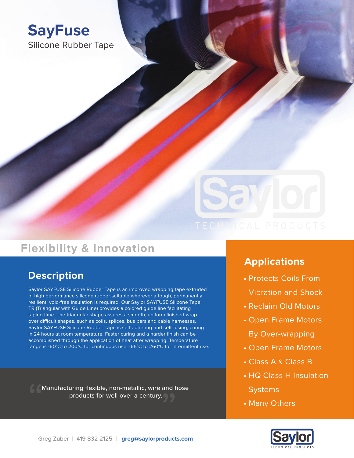



## **Flexibility & Innovation**

## **Description Contract Contract Contract Contract Contract Contract Contract Contract Contract Contract Contract Contract Contract Contract Contract Contract Contract Contract Contract Contract Contract Contract Contract**

Saylor SAYFUSE Silicone Rubber Tape is an improved wrapping tape extruded of high performance silicone rubber suitable wherever a tough, permanently resilient, void-free insulation is required. Our Saylor SAYFUSE Silicone Tape TR (Triangular with Guide Line) provides a colored guide line facilitating taping time. The triangular shape assures a smooth, uniform finished wrap over difficult shapes, such as coils, splices, bus bars and cable harnesses. Saylor SAYFUSE Silicone Rubber Tape is self-adhering and self-fusing, curing in 24 hours at room temperature. Faster curing and a harder finish can be accomplished through the application of heat after wrapping. Temperature range is -60°C to 200°C for continuous use; -65°C to 260°C for intermittent use.

Manufacturing flexible, non-metallic, wire and hose products for well over a century.

### **Applications**

- Vibration and Shock
- Reclaim Old Motors
- Open Frame Motors By Over-wrapping
- Open Frame Motors
- Class A & Class B
- HQ Class H Insulation **Systems**
- Many Others

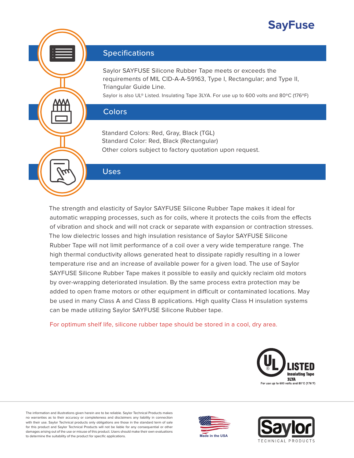## **SayFuse**



#### **Specifications**

Saylor SAYFUSE Silicone Rubber Tape meets or exceeds the requirements of MIL CID-A-A-59163, Type I, Rectangular; and Type II, Triangular Guide Line.

Saylor is also UL® Listed. Insulating Tape 3LYA. For use up to 600 volts and 80ºC (176ºF)

#### **Colors**

Standard Colors: Red, Gray, Black (TGL) Standard Color: Red, Black (Rectangular) Other colors subject to factory quotation upon request.

#### Uses

The strength and elasticity of Saylor SAYFUSE Silicone Rubber Tape makes it ideal for automatic wrapping processes, such as for coils, where it protects the coils from the effects of vibration and shock and will not crack or separate with expansion or contraction stresses. The low dielectric losses and high insulation resistance of Saylor SAYFUSE Silicone Rubber Tape will not limit performance of a coil over a very wide temperature range. The high thermal conductivity allows generated heat to dissipate rapidly resulting in a lower temperature rise and an increase of available power for a given load. The use of Saylor SAYFUSE Silicone Rubber Tape makes it possible to easily and quickly reclaim old motors by over-wrapping deteriorated insulation. By the same process extra protection may be added to open frame motors or other equipment in difficult or contaminated locations. May be used in many Class A and Class B applications. High quality Class H insulation systems can be made utilizing Saylor SAYFUSE Silicone Rubber tape.

For optimum shelf life, silicone rubber tape should be stored in a cool, dry area.



The information and illustrations given herein are to be reliable. Saylor Technical Products makes no warranties as to their accuracy or completeness and disclaimers any liability in connection with their use. Saylor Technical products only obligations are those in the standard term of sale for this product and Saylor Technical Products will not be liable for any consequential or other damages arising out of the use or misuse of this product. Users should make their own evaluations to determine the suitability of the product for specific applications. **Made in the USA** and the USA



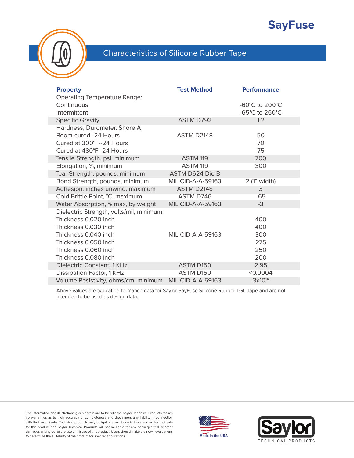## **SayFuse**



### Characteristics of Silicone Rubber Tape

| <b>Property</b><br><b>Operating Temperature Range:</b> | <b>Test Method</b>       | <b>Performance</b> |
|--------------------------------------------------------|--------------------------|--------------------|
| Continuous                                             |                          | -60°C to 200°C     |
| Intermittent                                           |                          | -65°C to 260°C     |
| <b>Specific Gravity</b>                                | <b>ASTM D792</b>         | 1.2                |
| Hardness, Durometer, Shore A                           |                          |                    |
| Room-cured--24 Hours                                   | ASTM D2148               | 50                 |
| Cured at 300°F--24 Hours                               |                          | 70                 |
| Cured at 480°F--24 Hours                               |                          | 75                 |
| Tensile Strength, psi, minimum                         | ASTM 119                 | 700                |
| Elongation, %, minimum                                 | ASTM 119                 | 300                |
| Tear Strength, pounds, minimum                         | ASTM D624 Die B          |                    |
| Bond Strength, pounds, minimum                         | <b>MIL CID-A-A-59163</b> | 2 (1" width)       |
| Adhesion, inches unwind, maximum                       | ASTM D2148               | 3                  |
| Cold Brittle Point, °C, maximum                        | ASTM D746                | $-65$              |
| Water Absorption, % max, by weight                     | <b>MIL CID-A-A-59163</b> | $-3$               |
| Dielectric Strength, volts/mil, minimum                |                          |                    |
| Thickness 0.020 inch                                   |                          | 400                |
| Thickness 0.030 inch                                   |                          | 400                |
| Thickness 0.040 inch                                   | <b>MIL CID-A-A-59163</b> | 300                |
| Thickness 0.050 inch                                   |                          | 275                |
| Thickness 0.060 inch                                   |                          | 250                |
| Thickness 0.080 inch                                   |                          | 200                |
| Dielectric Constant, 1 KHz                             | ASTM D150                | 2.95               |
| Dissipation Factor, 1 KHz                              | ASTM D150                | < 0.0004           |
| Volume Resistivity, ohms/cm, minimum                   | <b>MIL CID-A-A-59163</b> | $3x10^{14}$        |

Above values are typical performance data for Saylor SayFuse Silicone Rubber TGL Tape and are not intended to be used as design data.

The information and illustrations given herein are to be reliable. Saylor Technical Products makes no warranties as to their accuracy or completeness and disclaimers any liability in connection with their use. Saylor Technical products only obligations are those in the standard term of sale for this product and Saylor Technical Products will not be liable for any consequential or other damages arising out of the use or misuse of this product. Users should make their own evaluations to determine the suitability of the product for specific applications. **Made in the USA**